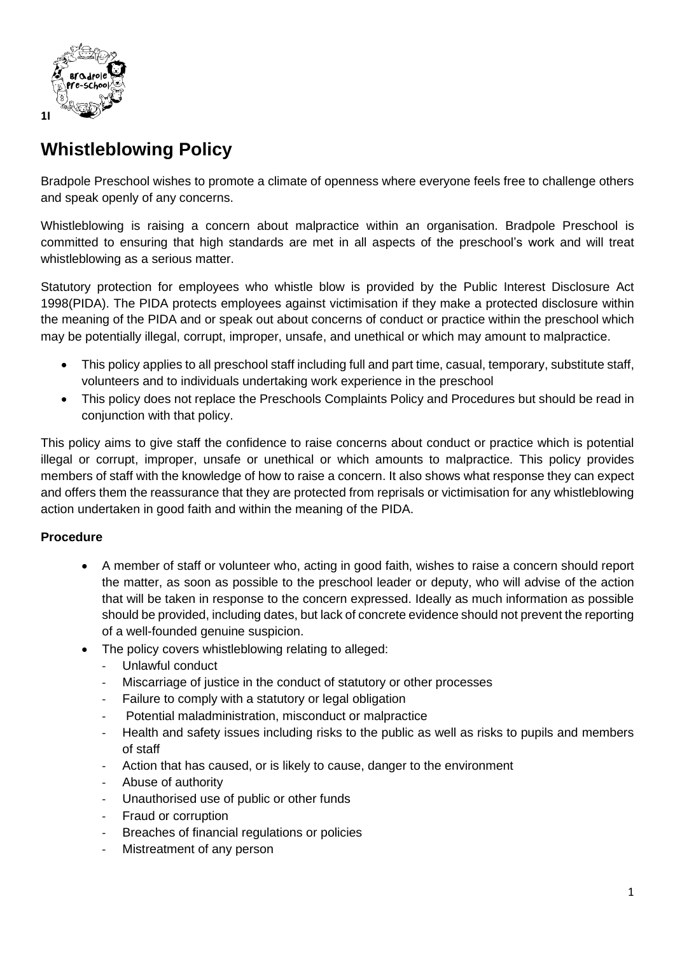

## **Whistleblowing Policy**

Bradpole Preschool wishes to promote a climate of openness where everyone feels free to challenge others and speak openly of any concerns.

Whistleblowing is raising a concern about malpractice within an organisation. Bradpole Preschool is committed to ensuring that high standards are met in all aspects of the preschool's work and will treat whistleblowing as a serious matter.

Statutory protection for employees who whistle blow is provided by the Public Interest Disclosure Act 1998(PIDA). The PIDA protects employees against victimisation if they make a protected disclosure within the meaning of the PIDA and or speak out about concerns of conduct or practice within the preschool which may be potentially illegal, corrupt, improper, unsafe, and unethical or which may amount to malpractice.

- This policy applies to all preschool staff including full and part time, casual, temporary, substitute staff, volunteers and to individuals undertaking work experience in the preschool
- This policy does not replace the Preschools Complaints Policy and Procedures but should be read in conjunction with that policy.

This policy aims to give staff the confidence to raise concerns about conduct or practice which is potential illegal or corrupt, improper, unsafe or unethical or which amounts to malpractice. This policy provides members of staff with the knowledge of how to raise a concern. It also shows what response they can expect and offers them the reassurance that they are protected from reprisals or victimisation for any whistleblowing action undertaken in good faith and within the meaning of the PIDA.

## **Procedure**

- A member of staff or volunteer who, acting in good faith, wishes to raise a concern should report the matter, as soon as possible to the preschool leader or deputy, who will advise of the action that will be taken in response to the concern expressed. Ideally as much information as possible should be provided, including dates, but lack of concrete evidence should not prevent the reporting of a well-founded genuine suspicion.
- The policy covers whistleblowing relating to alleged:
	- Unlawful conduct
	- Miscarriage of justice in the conduct of statutory or other processes
	- Failure to comply with a statutory or legal obligation
	- Potential maladministration, misconduct or malpractice
	- Health and safety issues including risks to the public as well as risks to pupils and members of staff
	- Action that has caused, or is likely to cause, danger to the environment
	- Abuse of authority
	- Unauthorised use of public or other funds
	- Fraud or corruption
	- Breaches of financial regulations or policies
	- Mistreatment of any person